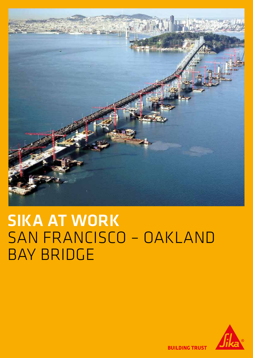

# SIKA AT WORK SAN FRANCISCO – OAKLAND BAY BRIDGE



**BUILDING TRUST**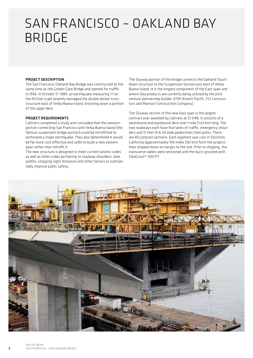## SAN FRANCISCO – OAKLAND BAY BRIDGE

#### PROJECT DESCRIPTION

The San Francisco-Oakland Bay Bridge was constructed at the same time as the Golden Gate Bridge and opened for traffic in 1936. In October 17, 1989, an earthquake measuring 7.1 on the Richter scale severely damaged the double decker truss structure east of Yerba Buena Island, knocking down a portion of the upper deck.

#### PROJECT REQUIREMENTS

Caltran's completed a study and concluded that the western portion connecting San Francisco and Yerba Buena Island (the famous suspension bridge portion) could be retrofitted to withstand a major earthquake. They also determined it would be far more cost effective and safer to build a new eastern span rather than retrofit it.

The new structure is designed to meet current seismic codes as well as other codes pertaining to roadway shoulders, lane widths, stopping sight distances and other factors to substantially improve public safety.

The Skyway portion of the bridge connects the Oakland Touchdown structure to the Suspension Section just east of Yerba Buena Island. It is the longest component of the East span and where Sika products are currently being utilized by the joint venture partnership builder, KFM (Kiewit Pacific, FCI Constructors and Manson Construction Company).

The Skyway section of the new East span is the largest contract ever awarded by Caltrans at \$1.04B. It consists of a westbound and eastbound deck over 1 mile (1.61 km) long. The two roadways each have five lanes of traffic, emergency shoulders and 15 feet (4.6 m) wide pedestrian/bike paths. There are 452 precast sections. Each segment was cast in Stockton, California (approximately 100 miles (161 km) form the project) then shipped down on barges to the site. Prior to shipping, the transverse cables were tensioned and the ducts grouted with SikaGrout®-300 PT.

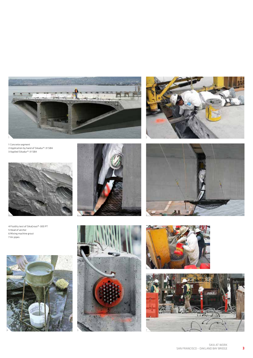

 Concrete segment Application by hand of Sikadur®-31 SBA Applied Sikadur®-31 SBA



 Fluidity test of SikaGrout®-300 PT Head of anchor Mixing machine grout Air pipes